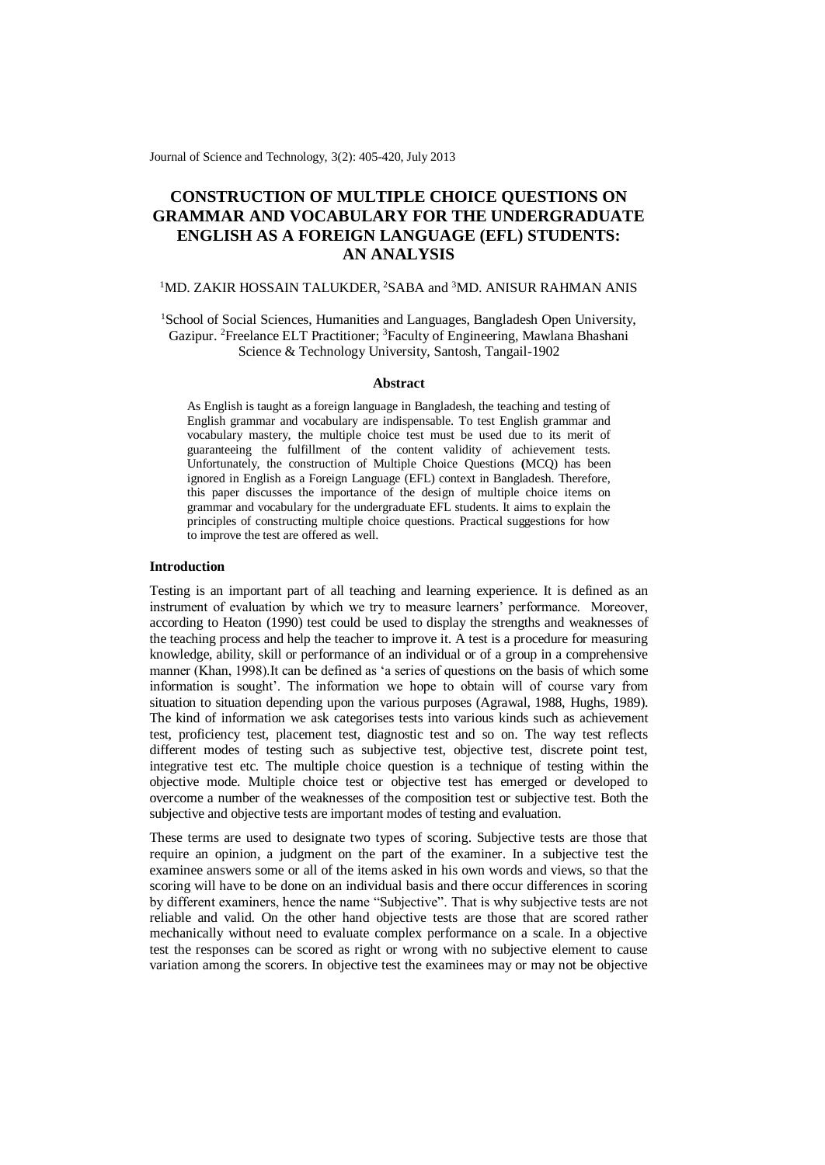Journal of Science and Technology, 3(2): 405-420, July 2013

# **CONSTRUCTION OF MULTIPLE CHOICE QUESTIONS ON GRAMMAR AND VOCABULARY FOR THE UNDERGRADUATE ENGLISH AS A FOREIGN LANGUAGE (EFL) STUDENTS: AN ANALYSIS**

# <sup>1</sup>MD. ZAKIR HOSSAIN TALUKDER, <sup>2</sup>SABA and <sup>3</sup>MD. ANISUR RAHMAN ANIS

<sup>1</sup>School of Social Sciences, Humanities and Languages, Bangladesh Open University, Gazipur. <sup>2</sup>Freelance ELT Practitioner; <sup>3</sup>Faculty of Engineering, Mawlana Bhashani Science & Technology University, Santosh, Tangail-1902

### **Abstract**

As English is taught as a foreign language in Bangladesh, the teaching and testing of English grammar and vocabulary are indispensable. To test English grammar and vocabulary mastery, the multiple choice test must be used due to its merit of guaranteeing the fulfillment of the content validity of achievement tests. Unfortunately, the construction of Multiple Choice Questions **(**MCQ) has been ignored in English as a Foreign Language (EFL) context in Bangladesh. Therefore, this paper discusses the importance of the design of multiple choice items on grammar and vocabulary for the undergraduate EFL students. It aims to explain the principles of constructing multiple choice questions. Practical suggestions for how to improve the test are offered as well.

### **Introduction**

Testing is an important part of all teaching and learning experience. It is defined as an instrument of evaluation by which we try to measure learners' performance. Moreover, according to Heaton (1990) test could be used to display the strengths and weaknesses of the teaching process and help the teacher to improve it. A test is a procedure for measuring knowledge, ability, skill or performance of an individual or of a group in a comprehensive manner (Khan, 1998).It can be defined as 'a series of questions on the basis of which some information is sought'. The information we hope to obtain will of course vary from situation to situation depending upon the various purposes (Agrawal, 1988, Hughs, 1989). The kind of information we ask categorises tests into various kinds such as achievement test, proficiency test, placement test, diagnostic test and so on. The way test reflects different modes of testing such as subjective test, objective test, discrete point test, integrative test etc. The multiple choice question is a technique of testing within the objective mode. Multiple choice test or objective test has emerged or developed to overcome a number of the weaknesses of the composition test or subjective test. Both the subjective and objective tests are important modes of testing and evaluation.

These terms are used to designate two types of scoring. Subjective tests are those that require an opinion, a judgment on the part of the examiner. In a subjective test the examinee answers some or all of the items asked in his own words and views, so that the scoring will have to be done on an individual basis and there occur differences in scoring by different examiners, hence the name "Subjective". That is why subjective tests are not reliable and valid. On the other hand objective tests are those that are scored rather mechanically without need to evaluate complex performance on a scale. In a objective test the responses can be scored as right or wrong with no subjective element to cause variation among the scorers. In objective test the examinees may or may not be objective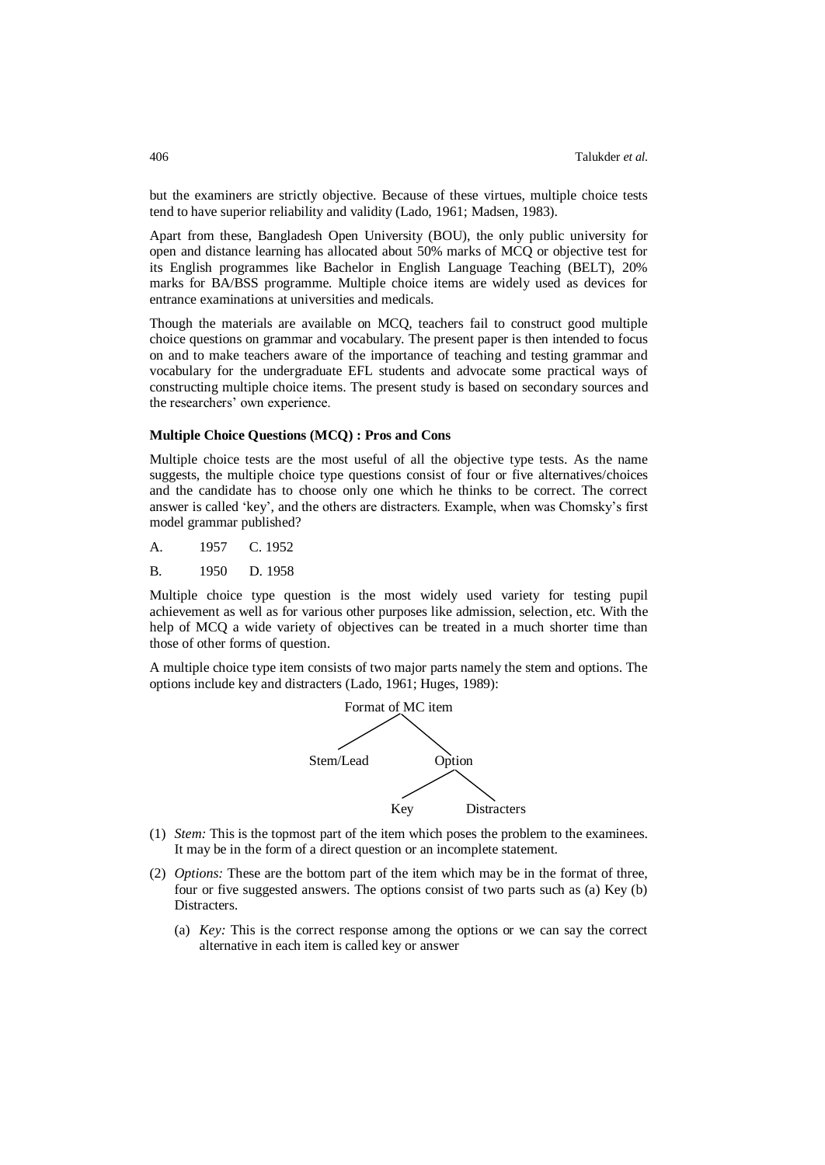but the examiners are strictly objective. Because of these virtues, multiple choice tests tend to have superior reliability and validity (Lado, 1961; Madsen, 1983).

Apart from these, Bangladesh Open University (BOU), the only public university for open and distance learning has allocated about 50% marks of MCQ or objective test for its English programmes like Bachelor in English Language Teaching (BELT), 20% marks for BA/BSS programme. Multiple choice items are widely used as devices for entrance examinations at universities and medicals.

Though the materials are available on MCQ, teachers fail to construct good multiple choice questions on grammar and vocabulary. The present paper is then intended to focus on and to make teachers aware of the importance of teaching and testing grammar and vocabulary for the undergraduate EFL students and advocate some practical ways of constructing multiple choice items. The present study is based on secondary sources and the researchers' own experience.

### **Multiple Choice Questions (MCQ) : Pros and Cons**

Multiple choice tests are the most useful of all the objective type tests. As the name suggests, the multiple choice type questions consist of four or five alternatives/choices and the candidate has to choose only one which he thinks to be correct. The correct answer is called 'key', and the others are distracters. Example, when was Chomsky's first model grammar published?

A. 1957 C. 1952

B. 1950 D. 1958

Multiple choice type question is the most widely used variety for testing pupil achievement as well as for various other purposes like admission, selection, etc. With the help of MCQ a wide variety of objectives can be treated in a much shorter time than those of other forms of question.

A multiple choice type item consists of two major parts namely the stem and options. The options include key and distracters (Lado, 1961; Huges, 1989):



- (1) *Stem:* This is the topmost part of the item which poses the problem to the examinees. It may be in the form of a direct question or an incomplete statement.
- (2) *Options:* These are the bottom part of the item which may be in the format of three, four or five suggested answers. The options consist of two parts such as (a) Key (b) Distracters.
	- (a) *Key:* This is the correct response among the options or we can say the correct alternative in each item is called key or answer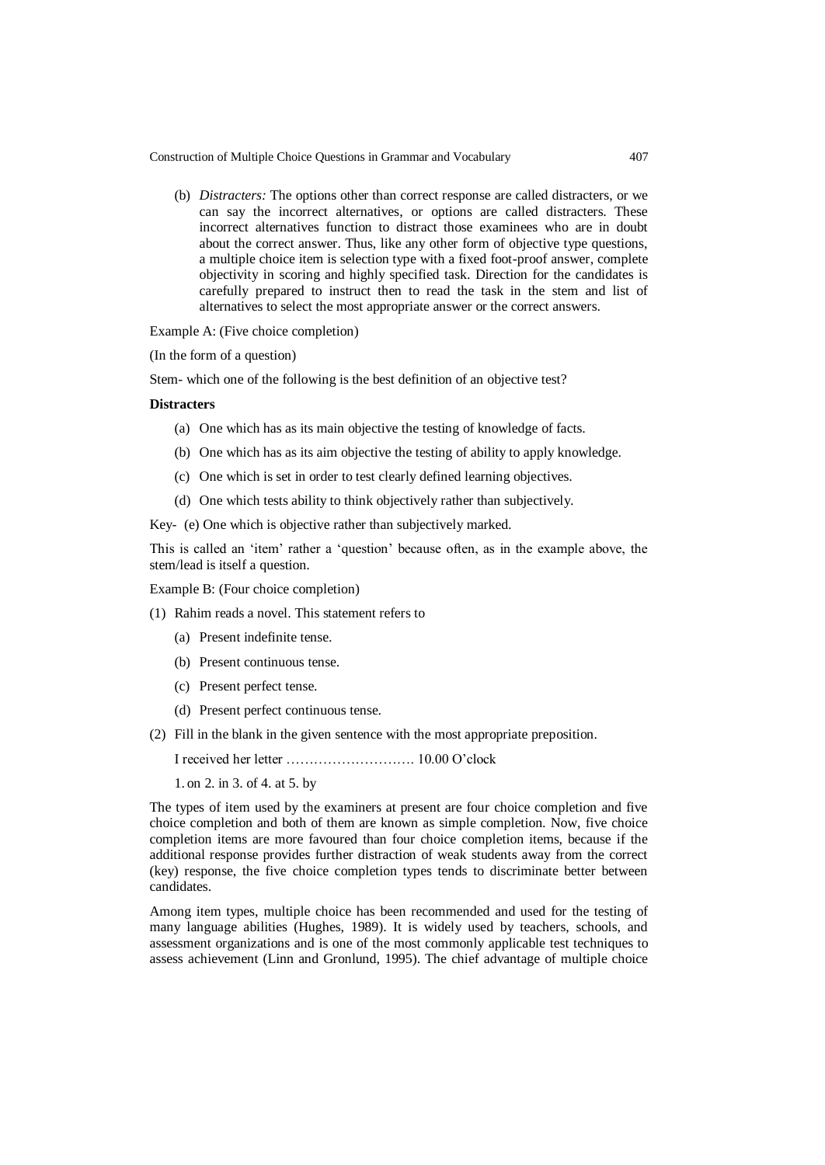(b) *Distracters:* The options other than correct response are called distracters, or we can say the incorrect alternatives, or options are called distracters. These incorrect alternatives function to distract those examinees who are in doubt about the correct answer. Thus, like any other form of objective type questions, a multiple choice item is selection type with a fixed foot-proof answer, complete objectivity in scoring and highly specified task. Direction for the candidates is carefully prepared to instruct then to read the task in the stem and list of alternatives to select the most appropriate answer or the correct answers.

Example A: (Five choice completion)

(In the form of a question)

Stem- which one of the following is the best definition of an objective test?

### **Distracters**

- (a) One which has as its main objective the testing of knowledge of facts.
- (b) One which has as its aim objective the testing of ability to apply knowledge.
- (c) One which is set in order to test clearly defined learning objectives.
- (d) One which tests ability to think objectively rather than subjectively.

Key- (e) One which is objective rather than subjectively marked.

This is called an 'item' rather a 'question' because often, as in the example above, the stem/lead is itself a question.

Example B: (Four choice completion)

- (1) Rahim reads a novel. This statement refers to
	- (a) Present indefinite tense.
	- (b) Present continuous tense.
	- (c) Present perfect tense.
	- (d) Present perfect continuous tense.
- (2) Fill in the blank in the given sentence with the most appropriate preposition.

I received her letter ………………………. 10.00 O'clock

1. on 2. in 3. of 4. at 5. by

The types of item used by the examiners at present are four choice completion and five choice completion and both of them are known as simple completion. Now, five choice completion items are more favoured than four choice completion items, because if the additional response provides further distraction of weak students away from the correct (key) response, the five choice completion types tends to discriminate better between candidates.

Among item types, multiple choice has been recommended and used for the testing of many language abilities (Hughes, 1989). It is widely used by teachers, schools, and assessment organizations and is one of the most commonly applicable test techniques to assess achievement (Linn and Gronlund, 1995). The chief advantage of multiple choice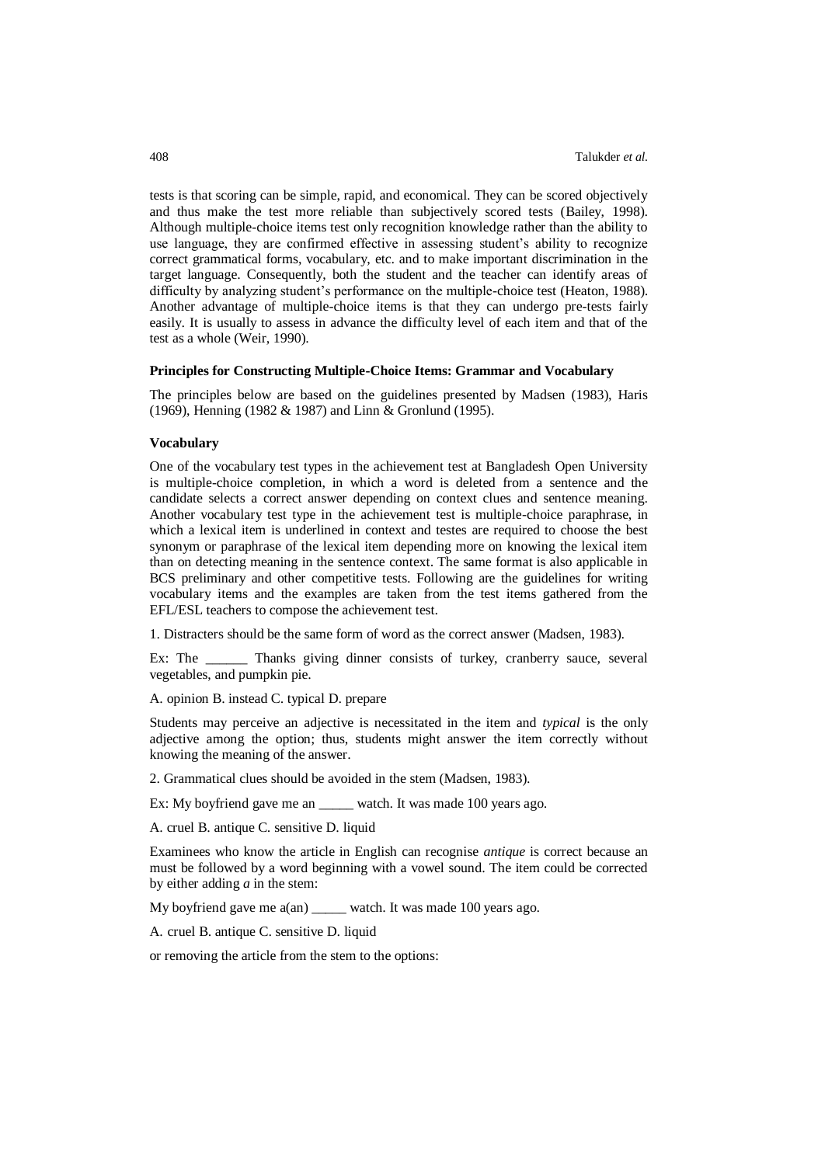tests is that scoring can be simple, rapid, and economical. They can be scored objectively and thus make the test more reliable than subjectively scored tests (Bailey, 1998). Although multiple-choice items test only recognition knowledge rather than the ability to use language, they are confirmed effective in assessing student's ability to recognize correct grammatical forms, vocabulary, etc. and to make important discrimination in the target language. Consequently, both the student and the teacher can identify areas of difficulty by analyzing student's performance on the multiple-choice test (Heaton, 1988). Another advantage of multiple-choice items is that they can undergo pre-tests fairly easily. It is usually to assess in advance the difficulty level of each item and that of the test as a whole (Weir, 1990).

### **Principles for Constructing Multiple-Choice Items: Grammar and Vocabulary**

The principles below are based on the guidelines presented by Madsen (1983), Haris (1969), Henning (1982 & 1987) and Linn & Gronlund (1995).

### **Vocabulary**

One of the vocabulary test types in the achievement test at Bangladesh Open University is multiple-choice completion, in which a word is deleted from a sentence and the candidate selects a correct answer depending on context clues and sentence meaning. Another vocabulary test type in the achievement test is multiple-choice paraphrase, in which a lexical item is underlined in context and testes are required to choose the best synonym or paraphrase of the lexical item depending more on knowing the lexical item than on detecting meaning in the sentence context. The same format is also applicable in BCS preliminary and other competitive tests. Following are the guidelines for writing vocabulary items and the examples are taken from the test items gathered from the EFL/ESL teachers to compose the achievement test.

1. Distracters should be the same form of word as the correct answer (Madsen, 1983).

Ex: The \_\_\_\_\_\_ Thanks giving dinner consists of turkey, cranberry sauce, several vegetables, and pumpkin pie.

A. opinion B. instead C. typical D. prepare

Students may perceive an adjective is necessitated in the item and *typical* is the only adjective among the option; thus, students might answer the item correctly without knowing the meaning of the answer.

2. Grammatical clues should be avoided in the stem (Madsen, 1983).

Ex: My boyfriend gave me an \_\_\_\_\_ watch. It was made 100 years ago.

A. cruel B. antique C. sensitive D. liquid

Examinees who know the article in English can recognise *antique* is correct because an must be followed by a word beginning with a vowel sound. The item could be corrected by either adding *a* in the stem:

My boyfriend gave me a(an) \_\_\_\_\_ watch. It was made 100 years ago.

A. cruel B. antique C. sensitive D. liquid

or removing the article from the stem to the options: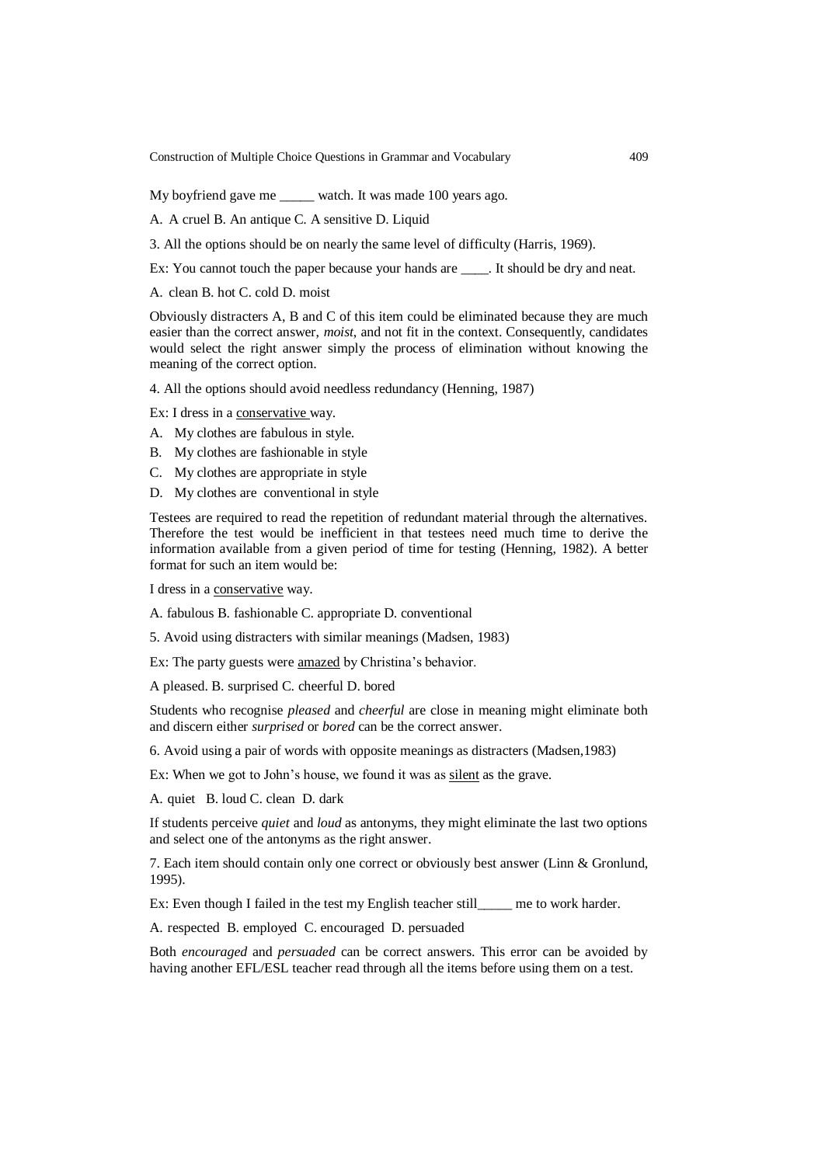My boyfriend gave me \_\_\_\_\_ watch. It was made 100 years ago.

A. A cruel B. An antique C. A sensitive D. Liquid

3. All the options should be on nearly the same level of difficulty (Harris, 1969).

Ex: You cannot touch the paper because your hands are \_\_\_\_\_. It should be dry and neat.

A. clean B. hot C. cold D. moist

Obviously distracters A, B and C of this item could be eliminated because they are much easier than the correct answer, *moist*, and not fit in the context. Consequently, candidates would select the right answer simply the process of elimination without knowing the meaning of the correct option.

4. All the options should avoid needless redundancy (Henning, 1987)

Ex: I dress in a conservative way.

- A. My clothes are fabulous in style.
- B. My clothes are fashionable in style
- C. My clothes are appropriate in style
- D. My clothes are conventional in style

Testees are required to read the repetition of redundant material through the alternatives. Therefore the test would be inefficient in that testees need much time to derive the information available from a given period of time for testing (Henning, 1982). A better format for such an item would be:

I dress in a conservative way.

A. fabulous B. fashionable C. appropriate D. conventional

5. Avoid using distracters with similar meanings (Madsen, 1983)

Ex: The party guests were amazed by Christina's behavior.

A pleased. B. surprised C. cheerful D. bored

Students who recognise *pleased* and *cheerful* are close in meaning might eliminate both and discern either *surprised* or *bored* can be the correct answer.

6. Avoid using a pair of words with opposite meanings as distracters (Madsen,1983)

Ex: When we got to John's house, we found it was as silent as the grave.

A. quiet B. loud C. clean D. dark

If students perceive *quiet* and *loud* as antonyms, they might eliminate the last two options and select one of the antonyms as the right answer.

7. Each item should contain only one correct or obviously best answer (Linn & Gronlund, 1995).

Ex: Even though I failed in the test my English teacher still me to work harder.

A. respected B. employed C. encouraged D. persuaded

Both *encouraged* and *persuaded* can be correct answers. This error can be avoided by having another EFL/ESL teacher read through all the items before using them on a test.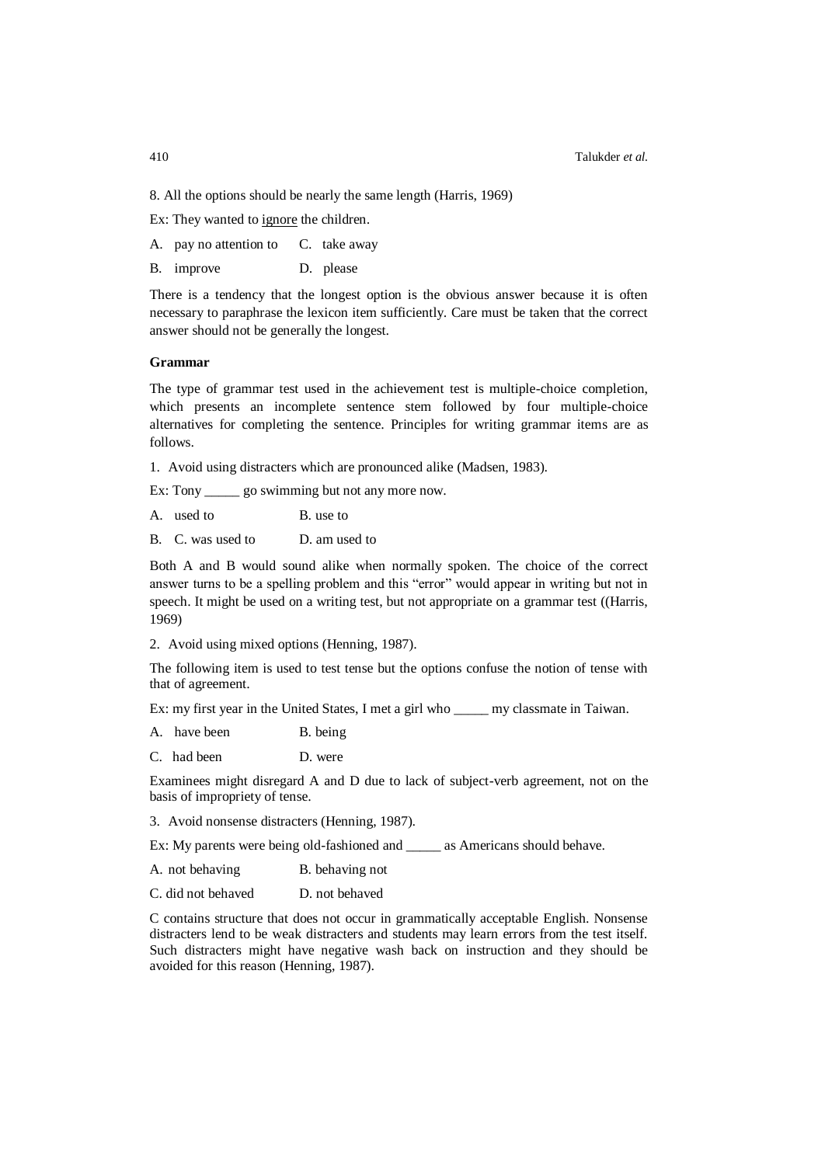8. All the options should be nearly the same length (Harris, 1969)

Ex: They wanted to ignore the children.

- A. pay no attention to C. take away
- B. improve D. please

There is a tendency that the longest option is the obvious answer because it is often necessary to paraphrase the lexicon item sufficiently. Care must be taken that the correct answer should not be generally the longest.

### **Grammar**

The type of grammar test used in the achievement test is multiple-choice completion, which presents an incomplete sentence stem followed by four multiple-choice alternatives for completing the sentence. Principles for writing grammar items are as follows.

1. Avoid using distracters which are pronounced alike (Madsen, 1983).

Ex: Tony \_\_\_\_\_\_\_ go swimming but not any more now.

A. used to B. use to

B. C. was used to D. am used to

Both A and B would sound alike when normally spoken. The choice of the correct answer turns to be a spelling problem and this "error" would appear in writing but not in speech. It might be used on a writing test, but not appropriate on a grammar test ((Harris, 1969)

2. Avoid using mixed options (Henning, 1987).

The following item is used to test tense but the options confuse the notion of tense with that of agreement.

Ex: my first year in the United States, I met a girl who \_\_\_\_\_ my classmate in Taiwan.

- A. have been B. being
- C. had been D. were

Examinees might disregard A and D due to lack of subject-verb agreement, not on the basis of impropriety of tense.

3. Avoid nonsense distracters (Henning, 1987).

Ex: My parents were being old-fashioned and \_\_\_\_\_ as Americans should behave.

- A. not behaving B. behaving not
- C. did not behaved D. not behaved

C contains structure that does not occur in grammatically acceptable English. Nonsense distracters lend to be weak distracters and students may learn errors from the test itself. Such distracters might have negative wash back on instruction and they should be avoided for this reason (Henning, 1987).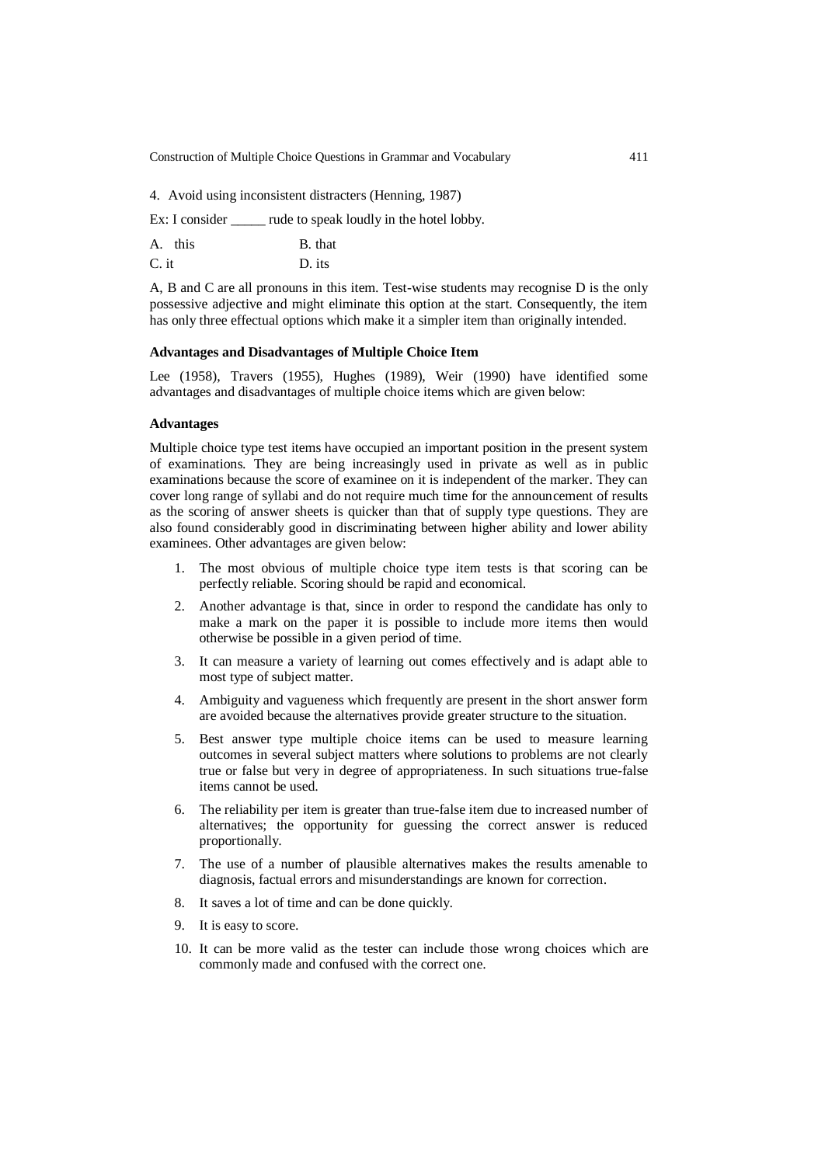4. Avoid using inconsistent distracters (Henning, 1987)

Ex: I consider \_\_\_\_\_\_ rude to speak loudly in the hotel lobby.

| A. this | B. that |
|---------|---------|
| $C.$ it | D. its  |

A, B and C are all pronouns in this item. Test-wise students may recognise D is the only possessive adjective and might eliminate this option at the start. Consequently, the item has only three effectual options which make it a simpler item than originally intended.

#### **Advantages and Disadvantages of Multiple Choice Item**

Lee (1958), Travers (1955), Hughes (1989), Weir (1990) have identified some advantages and disadvantages of multiple choice items which are given below:

### **Advantages**

Multiple choice type test items have occupied an important position in the present system of examinations. They are being increasingly used in private as well as in public examinations because the score of examinee on it is independent of the marker. They can cover long range of syllabi and do not require much time for the announcement of results as the scoring of answer sheets is quicker than that of supply type questions. They are also found considerably good in discriminating between higher ability and lower ability examinees. Other advantages are given below:

- 1. The most obvious of multiple choice type item tests is that scoring can be perfectly reliable. Scoring should be rapid and economical.
- 2. Another advantage is that, since in order to respond the candidate has only to make a mark on the paper it is possible to include more items then would otherwise be possible in a given period of time.
- 3. It can measure a variety of learning out comes effectively and is adapt able to most type of subject matter.
- 4. Ambiguity and vagueness which frequently are present in the short answer form are avoided because the alternatives provide greater structure to the situation.
- 5. Best answer type multiple choice items can be used to measure learning outcomes in several subject matters where solutions to problems are not clearly true or false but very in degree of appropriateness. In such situations true-false items cannot be used.
- 6. The reliability per item is greater than true-false item due to increased number of alternatives; the opportunity for guessing the correct answer is reduced proportionally.
- 7. The use of a number of plausible alternatives makes the results amenable to diagnosis, factual errors and misunderstandings are known for correction.
- 8. It saves a lot of time and can be done quickly.
- 9. It is easy to score.
- 10. It can be more valid as the tester can include those wrong choices which are commonly made and confused with the correct one.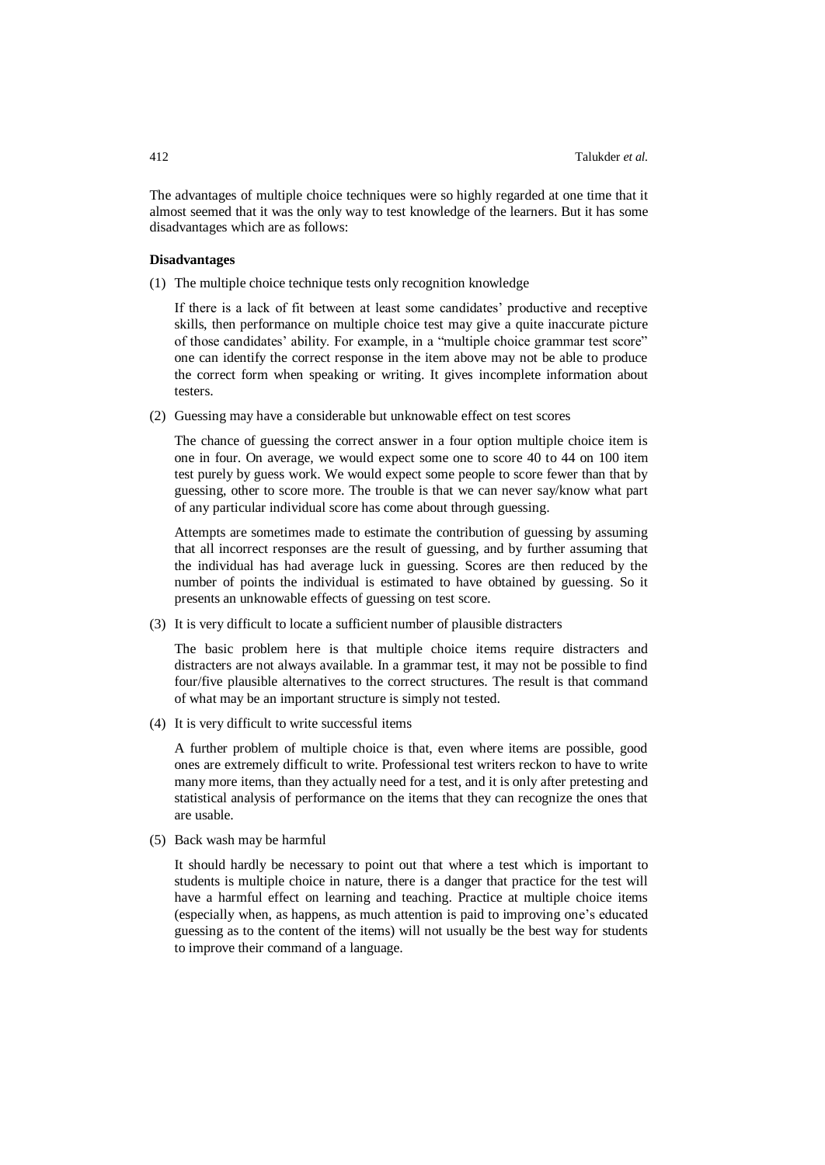The advantages of multiple choice techniques were so highly regarded at one time that it almost seemed that it was the only way to test knowledge of the learners. But it has some disadvantages which are as follows:

### **Disadvantages**

(1) The multiple choice technique tests only recognition knowledge

If there is a lack of fit between at least some candidates' productive and receptive skills, then performance on multiple choice test may give a quite inaccurate picture of those candidates' ability. For example, in a "multiple choice grammar test score" one can identify the correct response in the item above may not be able to produce the correct form when speaking or writing. It gives incomplete information about testers.

(2) Guessing may have a considerable but unknowable effect on test scores

The chance of guessing the correct answer in a four option multiple choice item is one in four. On average, we would expect some one to score 40 to 44 on 100 item test purely by guess work. We would expect some people to score fewer than that by guessing, other to score more. The trouble is that we can never say/know what part of any particular individual score has come about through guessing.

Attempts are sometimes made to estimate the contribution of guessing by assuming that all incorrect responses are the result of guessing, and by further assuming that the individual has had average luck in guessing. Scores are then reduced by the number of points the individual is estimated to have obtained by guessing. So it presents an unknowable effects of guessing on test score.

(3) It is very difficult to locate a sufficient number of plausible distracters

The basic problem here is that multiple choice items require distracters and distracters are not always available. In a grammar test, it may not be possible to find four/five plausible alternatives to the correct structures. The result is that command of what may be an important structure is simply not tested.

(4) It is very difficult to write successful items

A further problem of multiple choice is that, even where items are possible, good ones are extremely difficult to write. Professional test writers reckon to have to write many more items, than they actually need for a test, and it is only after pretesting and statistical analysis of performance on the items that they can recognize the ones that are usable.

(5) Back wash may be harmful

It should hardly be necessary to point out that where a test which is important to students is multiple choice in nature, there is a danger that practice for the test will have a harmful effect on learning and teaching. Practice at multiple choice items (especially when, as happens, as much attention is paid to improving one's educated guessing as to the content of the items) will not usually be the best way for students to improve their command of a language.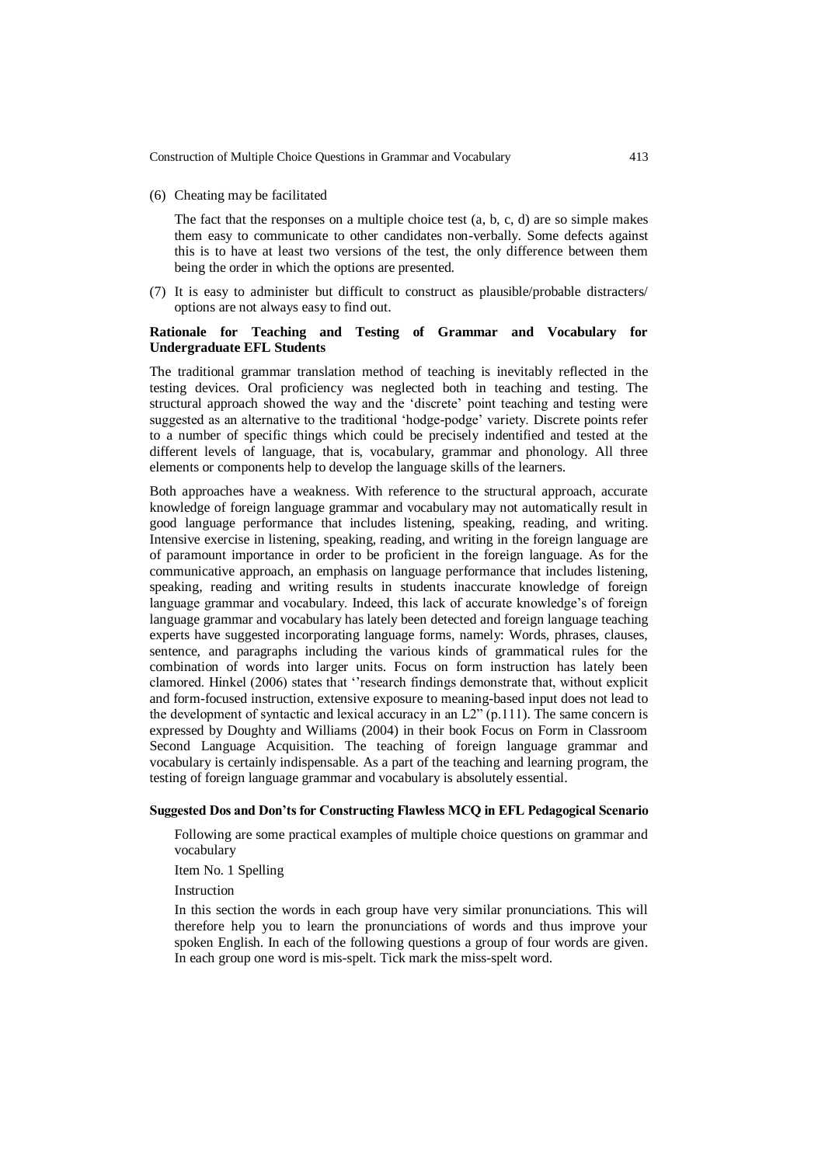(6) Cheating may be facilitated

The fact that the responses on a multiple choice test (a, b, c, d) are so simple makes them easy to communicate to other candidates non-verbally. Some defects against this is to have at least two versions of the test, the only difference between them being the order in which the options are presented.

(7) It is easy to administer but difficult to construct as plausible/probable distracters/ options are not always easy to find out.

# **Rationale for Teaching and Testing of Grammar and Vocabulary for Undergraduate EFL Students**

The traditional grammar translation method of teaching is inevitably reflected in the testing devices. Oral proficiency was neglected both in teaching and testing. The structural approach showed the way and the 'discrete' point teaching and testing were suggested as an alternative to the traditional 'hodge-podge' variety. Discrete points refer to a number of specific things which could be precisely indentified and tested at the different levels of language, that is, vocabulary, grammar and phonology. All three elements or components help to develop the language skills of the learners.

Both approaches have a weakness. With reference to the structural approach, accurate knowledge of foreign language grammar and vocabulary may not automatically result in good language performance that includes listening, speaking, reading, and writing. Intensive exercise in listening, speaking, reading, and writing in the foreign language are of paramount importance in order to be proficient in the foreign language. As for the communicative approach, an emphasis on language performance that includes listening, speaking, reading and writing results in students inaccurate knowledge of foreign language grammar and vocabulary. Indeed, this lack of accurate knowledge's of foreign language grammar and vocabulary has lately been detected and foreign language teaching experts have suggested incorporating language forms, namely: Words, phrases, clauses, sentence, and paragraphs including the various kinds of grammatical rules for the combination of words into larger units. Focus on form instruction has lately been clamored. Hinkel (2006) states that ''research findings demonstrate that, without explicit and form-focused instruction, extensive exposure to meaning-based input does not lead to the development of syntactic and lexical accuracy in an L2" (p.111). The same concern is expressed by Doughty and Williams (2004) in their book Focus on Form in Classroom Second Language Acquisition. The teaching of foreign language grammar and vocabulary is certainly indispensable. As a part of the teaching and learning program, the testing of foreign language grammar and vocabulary is absolutely essential.

#### **Suggested Dos and Don'ts for Constructing Flawless MCQ in EFL Pedagogical Scenario**

Following are some practical examples of multiple choice questions on grammar and vocabulary

Item No. 1 Spelling

Instruction

In this section the words in each group have very similar pronunciations. This will therefore help you to learn the pronunciations of words and thus improve your spoken English. In each of the following questions a group of four words are given. In each group one word is mis-spelt. Tick mark the miss-spelt word.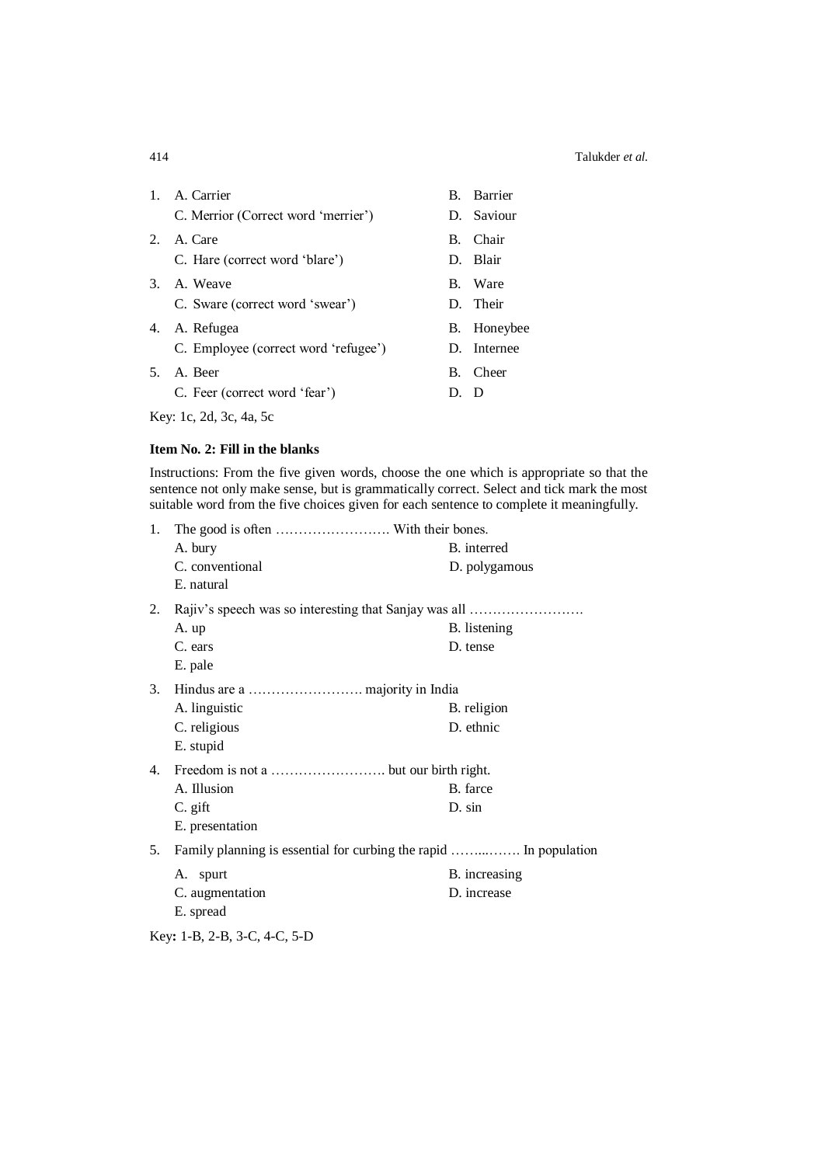| $1_{\cdot}$ | A. Carrier                           |      | B. Barrier  |
|-------------|--------------------------------------|------|-------------|
|             | C. Merrior (Correct word 'merrier')  |      | D. Saviour  |
| 2.          | A. Care                              |      | B. Chair    |
|             | C. Hare (correct word 'blare')       |      | D. Blair    |
|             | 3. A. Weave                          |      | B. Ware     |
|             | C. Sware (correct word 'swear')      |      | D. Their    |
|             | 4. A. Refugea                        |      | B. Honeybee |
|             | C. Employee (correct word 'refugee') |      | D. Internee |
| 5.          | A. Beer                              |      | B. Cheer    |
|             | C. Feer (correct word 'fear')        | D. D |             |
|             |                                      |      |             |

Key: 1c, 2d, 3c, 4a, 5c

# **Item No. 2: Fill in the blanks**

Instructions: From the five given words, choose the one which is appropriate so that the sentence not only make sense, but is grammatically correct. Select and tick mark the most suitable word from the five choices given for each sentence to complete it meaningfully.

| 1. |                                                                   |               |
|----|-------------------------------------------------------------------|---------------|
|    | A. bury                                                           | B. interred   |
|    | C. conventional                                                   | D. polygamous |
|    | E. natural                                                        |               |
| 2. | Rajiv's speech was so interesting that Sanjay was all             |               |
|    | A. up                                                             | B. listening  |
|    | C. ears                                                           | D. tense      |
|    | E. pale                                                           |               |
| 3. |                                                                   |               |
|    | A. linguistic                                                     | B. religion   |
|    | C. religious                                                      | D. ethnic     |
|    | E. stupid                                                         |               |
| 4. |                                                                   |               |
|    | A. Illusion                                                       | B. farce      |
|    | C. gift                                                           | D. sin        |
|    | E. presentation                                                   |               |
| 5. | Family planning is essential for curbing the rapid  In population |               |
|    | A. spurt                                                          | B. increasing |
|    | C. augmentation                                                   | D. increase   |
|    | E. spread                                                         |               |
|    | Key: 1-B, 2-B, 3-C, 4-C, 5-D                                      |               |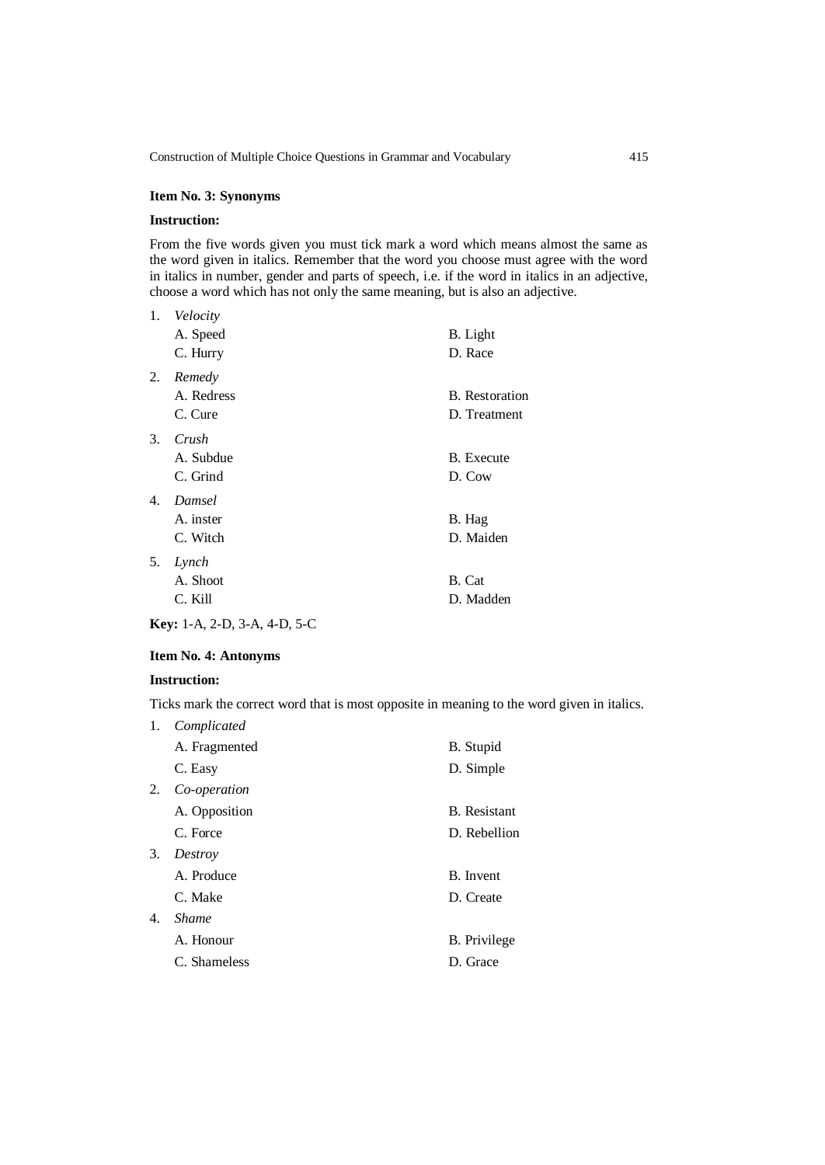## **Item No. 3: Synonyms**

### **Instruction:**

From the five words given you must tick mark a word which means almost the same as the word given in italics. Remember that the word you choose must agree with the word in italics in number, gender and parts of speech, i.e. if the word in italics in an adjective, choose a word which has not only the same meaning, but is also an adjective.

| 1. | Velocity<br>A. Speed<br>C. Hurry | B. Light<br>D. Race                   |
|----|----------------------------------|---------------------------------------|
| 2. | Remedy<br>A. Redress<br>C. Cure  | <b>B.</b> Restoration<br>D. Treatment |
| 3. | Crush<br>A. Subdue<br>C. Grind   | <b>B.</b> Execute<br>D. Cow           |
| 4. | Damsel<br>A. inster<br>C. Witch  | B. Hag<br>D. Maiden                   |
| 5. | Lynch<br>A. Shoot<br>C. Kill     | B. Cat<br>D. Madden                   |

**Key:** 1-A, 2-D, 3-A, 4-D, 5-C

# **Item No. 4: Antonyms**

## **Instruction:**

Ticks mark the correct word that is most opposite in meaning to the word given in italics.

| 1. | Complicated   |                     |
|----|---------------|---------------------|
|    | A. Fragmented | B. Stupid           |
|    | C. Easy       | D. Simple           |
| 2. | Co-operation  |                     |
|    | A. Opposition | <b>B.</b> Resistant |
|    | C. Force      | D. Rebellion        |
| 3. | Destroy       |                     |
|    | A. Produce    | B. Invent           |
|    | C. Make       | D. Create           |
| 4. | <i>Shame</i>  |                     |
|    | A. Honour     | B. Privilege        |
|    | C. Shameless  | D. Grace            |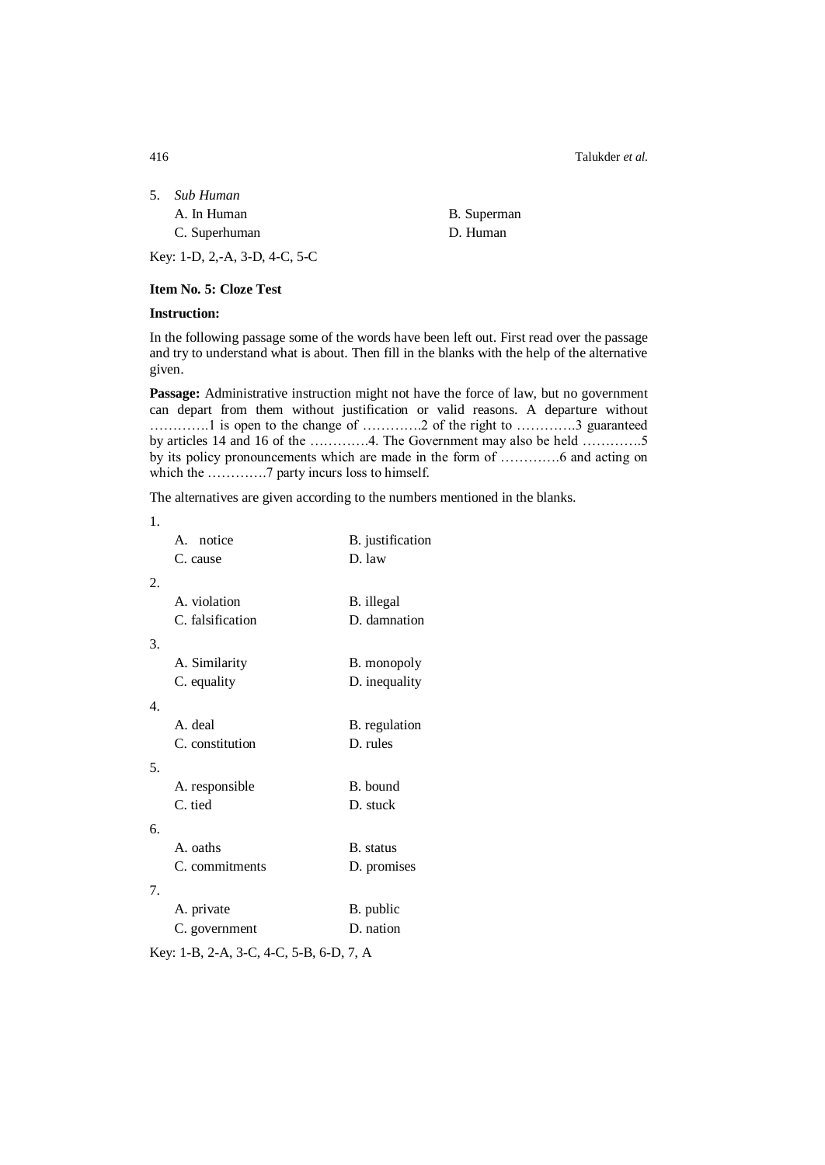416 Talukder *et al.*

| 5. | Sub Human                         |  |
|----|-----------------------------------|--|
|    | A. In Human                       |  |
|    | $C$ , $C$ , $\ldots$ $\ldots$ $C$ |  |

B. Superman C. Superhuman D. Human

Key: 1-D, 2,-A, 3-D, 4-C, 5-C

**Item No. 5: Cloze Test**

# **Instruction:**

In the following passage some of the words have been left out. First read over the passage and try to understand what is about. Then fill in the blanks with the help of the alternative given.

**Passage:** Administrative instruction might not have the force of law, but no government can depart from them without justification or valid reasons. A departure without ………….1 is open to the change of ………….2 of the right to ………….3 guaranteed by articles 14 and 16 of the ………….4. The Government may also be held ………….5 by its policy pronouncements which are made in the form of ………….6 and acting on which the ………….7 party incurs loss to himself.

The alternatives are given according to the numbers mentioned in the blanks.

| 1.             |                  |                  |
|----------------|------------------|------------------|
|                | A. notice        | B. justification |
|                | C. cause         | D. law           |
| 2.             |                  |                  |
|                | A. violation     | B. illegal       |
|                | C. falsification | D. damnation     |
|                |                  |                  |
| 3.             |                  |                  |
|                | A. Similarity    | B. monopoly      |
|                | C. equality      | D. inequality    |
| $\mathbf{4}$ . |                  |                  |
|                | A. deal          | B. regulation    |
|                | C. constitution  | D. rules         |
| 5.             |                  |                  |
|                | A. responsible   | B. bound         |
|                | C. tied          | D. stuck         |
|                |                  |                  |
| 6.             |                  |                  |
|                | A. oaths         | B. status        |
|                | C. commitments   | D. promises      |
| 7.             |                  |                  |
|                | A. private       | B. public        |
|                | C. government    | D. nation        |
|                |                  |                  |

Key: 1-B, 2-A, 3-C, 4-C, 5-B, 6-D, 7, A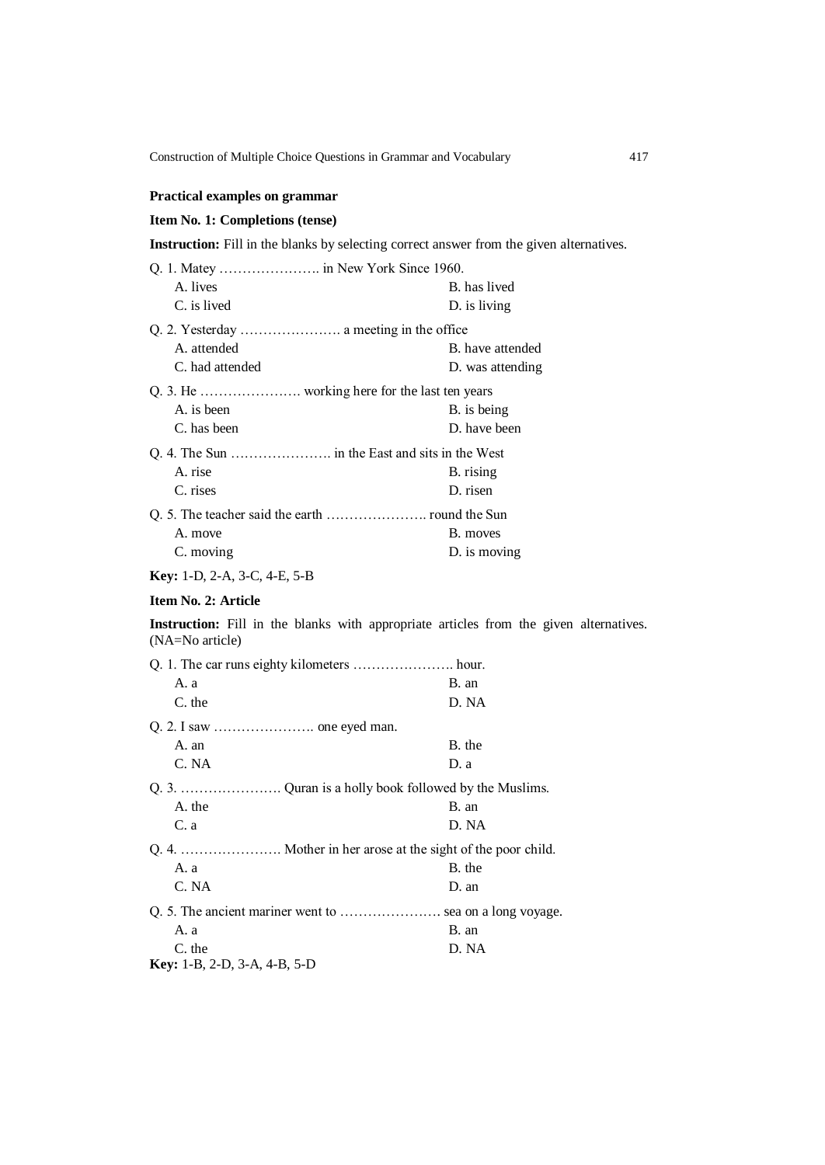# **Practical examples on grammar**

# **Item No. 1: Completions (tense)**

**Instruction:** Fill in the blanks by selecting correct answer from the given alternatives.

| Q. 1. Matey  in New York Since 1960. |                  |
|--------------------------------------|------------------|
| A. lives                             | B. has lived     |
| C. is lived                          | D. is living     |
|                                      |                  |
| A. attended                          | B. have attended |
| C. had attended                      | D. was attending |
|                                      |                  |
| A. is been                           | B. is being      |
| C. has been                          | D. have been     |
|                                      |                  |
| A. rise                              | B. rising        |
| C. rises                             | D. risen         |
|                                      |                  |
| A. move                              | B. moves         |
| C. moving                            | D. is moving     |
| <b>Key:</b> 1-D, 2-A, 3-C, 4-E, 5-B  |                  |

# **Item No. 2: Article**

**Instruction:** Fill in the blanks with appropriate articles from the given alternatives. (NA=No article)

| A. a                                | B. an  |  |
|-------------------------------------|--------|--|
| C. the                              | D. NA  |  |
|                                     |        |  |
| A. an                               | B. the |  |
| C. NA                               | D. a   |  |
|                                     |        |  |
| A. the                              | B. an  |  |
| C. a                                | D. NA  |  |
|                                     |        |  |
| A. a                                | B. the |  |
| C. NA                               | D. an  |  |
|                                     |        |  |
| A. a                                | B. an  |  |
| C. the                              | D. NA  |  |
| <b>Key:</b> 1-B, 2-D, 3-A, 4-B, 5-D |        |  |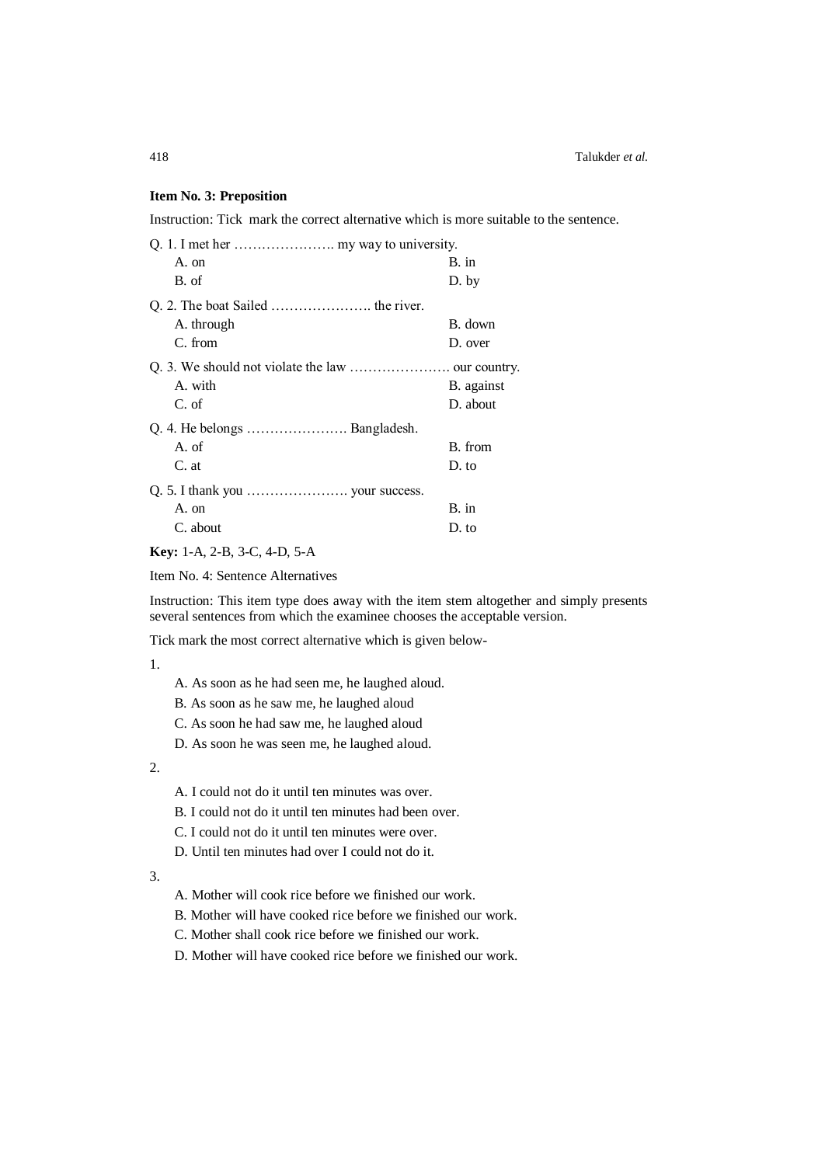### **Item No. 3: Preposition**

Instruction: Tick mark the correct alternative which is more suitable to the sentence.

| A. on                         | B. in      |
|-------------------------------|------------|
| B. of                         | D. by      |
|                               |            |
| A. through                    | B. down    |
| C. from                       | D. over    |
|                               |            |
| A. with                       | B. against |
| C. of                         | D. about   |
| Q. 4. He belongs  Bangladesh. |            |
| A. of                         | B. from    |
| C. at                         | D. to      |
|                               |            |
| A. on                         | B. in      |
| C. about                      | D. to      |
|                               |            |

## **Key:** 1-A, 2-B, 3-C, 4-D, 5-A

Item No. 4: Sentence Alternatives

Instruction: This item type does away with the item stem altogether and simply presents several sentences from which the examinee chooses the acceptable version.

Tick mark the most correct alternative which is given below-

1.

- A. As soon as he had seen me, he laughed aloud.
- B. As soon as he saw me, he laughed aloud
- C. As soon he had saw me, he laughed aloud
- D. As soon he was seen me, he laughed aloud.

2.

- A. I could not do it until ten minutes was over.
- B. I could not do it until ten minutes had been over.
- C. I could not do it until ten minutes were over.
- D. Until ten minutes had over I could not do it.

3.

- A. Mother will cook rice before we finished our work.
- B. Mother will have cooked rice before we finished our work.
- C. Mother shall cook rice before we finished our work.
- D. Mother will have cooked rice before we finished our work.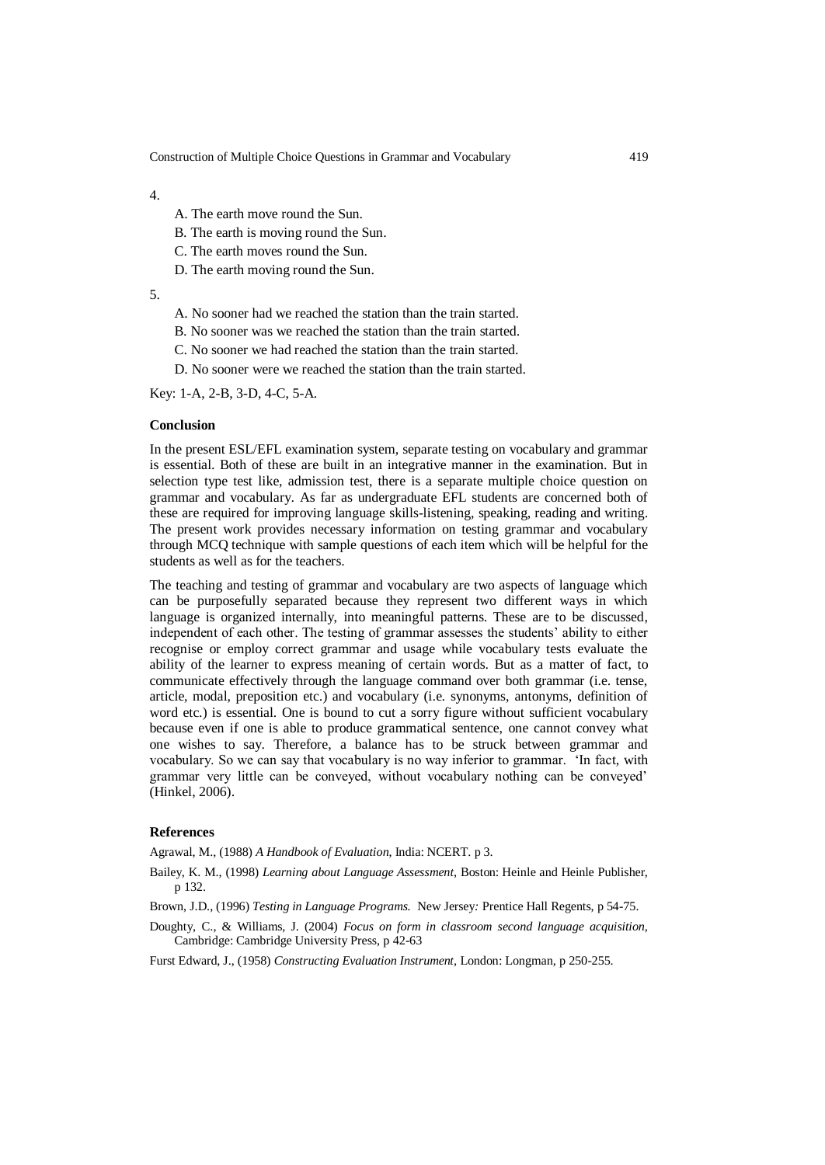4.

- A. The earth move round the Sun.
- B. The earth is moving round the Sun.
- C. The earth moves round the Sun.
- D. The earth moving round the Sun.

5.

- A. No sooner had we reached the station than the train started.
- B. No sooner was we reached the station than the train started.
- C. No sooner we had reached the station than the train started.
- D. No sooner were we reached the station than the train started.

Key: 1-A, 2-B, 3-D, 4-C, 5-A.

#### **Conclusion**

In the present ESL/EFL examination system, separate testing on vocabulary and grammar is essential. Both of these are built in an integrative manner in the examination. But in selection type test like, admission test, there is a separate multiple choice question on grammar and vocabulary. As far as undergraduate EFL students are concerned both of these are required for improving language skills-listening, speaking, reading and writing. The present work provides necessary information on testing grammar and vocabulary through MCQ technique with sample questions of each item which will be helpful for the students as well as for the teachers.

The teaching and testing of grammar and vocabulary are two aspects of language which can be purposefully separated because they represent two different ways in which language is organized internally, into meaningful patterns. These are to be discussed, independent of each other. The testing of grammar assesses the students' ability to either recognise or employ correct grammar and usage while vocabulary tests evaluate the ability of the learner to express meaning of certain words. But as a matter of fact, to communicate effectively through the language command over both grammar (i.e. tense, article, modal, preposition etc.) and vocabulary (i.e. synonyms, antonyms, definition of word etc.) is essential. One is bound to cut a sorry figure without sufficient vocabulary because even if one is able to produce grammatical sentence, one cannot convey what one wishes to say. Therefore, a balance has to be struck between grammar and vocabulary. So we can say that vocabulary is no way inferior to grammar. 'In fact, with grammar very little can be conveyed, without vocabulary nothing can be conveyed' (Hinkel, 2006).

### **References**

Agrawal, M., (1988) *A Handbook of Evaluation*, India: NCERT. p 3.

- Bailey, K. M., (1998) *Learning about Language Assessment*, Boston: Heinle and Heinle Publisher, p 132.
- Brown, J.D., (1996) *Testing in Language Programs.* New Jersey*:* Prentice Hall Regents, p 54-75.
- Doughty, C., & Williams, J. (2004) *Focus on form in classroom second language acquisition,* Cambridge: Cambridge University Press, p 42-63
- Furst Edward, J., (1958) *Constructing Evaluation Instrument,* London: Longman, p 250-255.